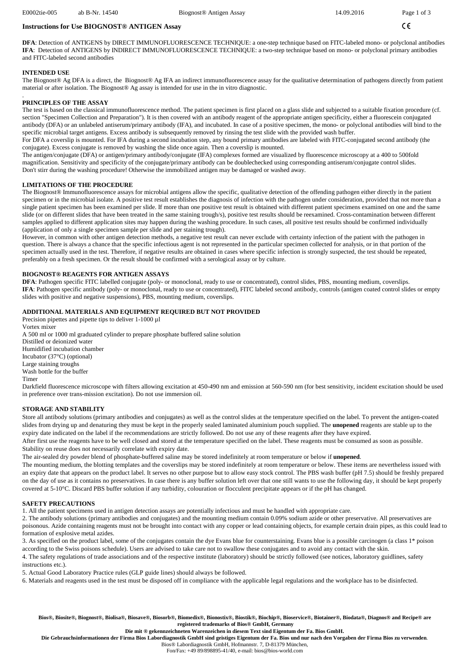#### $\epsilon$

## **Instructions for Use BIOGNOST® ANTIGEN Assay**

**DFA**: Detection of ANTIGENS by DIRECT IMMUNOFLUORESCENCE TECHNIQUE: a one-step technique based on FITC-labeled mono- or polyclonal antibodies **IFA**: Detection of ANTIGENS by INDIRECT IMMUNOFLUORESCENCE TECHNIQUE: a two-step technique based on mono- or polyclonal primary antibodies and FITC-labeled second antibodies

## **INTENDED USE**

.

The Biognost® Ag DFA is a direct, the Biognost® Ag IFA an indirect immunofluorescence assay for the qualitative determination of pathogens directly from patient material or after isolation. The Biognost® Ag assay is intended for use in the in vitro diagnostic.

#### **PRINCIPLES OF THE ASSAY**

The test is based on the classical immunofluorescence method. The patient specimen is first placed on a glass slide and subjected to a suitable fixation procedure (cf. section "Specimen Collection and Preparation"). It is then covered with an antibody reagent of the appropriate antigen specificity, either a fluorescein conjugated antibody (DFA) or an unlabeled antiserum/primary antibody (IFA), and incubated. In case of a positive specimen, the mono- or polyclonal antibodies will bind to the specific microbial target antigens. Excess antibody is subsequently removed by rinsing the test slide with the provided wash buffer.

For DFA a coverslip is mounted. For IFA during a second incubation step, any bound primary antibodies are labeled with FITC-conjugated second antibody (the conjugate). Excess conjugate is removed by washing the slide once again. Then a coverslip is mounted.

The antigen/conjugate (DFA) or antigen/primary antibody/conjugate (IFA) complexes formed are visualized by fluorescence microscopy at a 400 to 500fold magnification. Sensitivity and specificity of the conjugate/primary antibody can be doublechecked using corresponding antiserum/conjugate control slides. Don't stirr during the washing procedure! Otherwise the immobilized antigen may be damaged or washed away.

## **LIMITATIONS OF THE PROCEDURE**

The Biognost® Immunofluorescence assays for microbial antigens allow the specific, qualitative detection of the offending pathogen either directly in the patient specimen or in the microbial isolate. A positive test result establishes the diagnosis of infection with the pathogen under consideration, provided that not more than a single patient specimen has been examined per slide. If more than one positive test result is obtained with different patient specimens examined on one and the same slide (or on different slides that have been treated in the same staining trough/s), positive test results should be reexamined. Cross-contamination between different samples applied to different application sites may happen during the washing procedure. In such cases, all positive test results should be confirmed individually (application of only a single specimen sample per slide and per staining trough).

However, in common with other antigen detection methods, a negative test result can never exclude with certainty infection of the patient with the pathogen in question. There is always a chance that the specific infectious agent is not represented in the particular specimen collected for analysis, or in that portion of the specimen actually used in the test. Therefore, if negative results are obtained in cases where specific infection is strongly suspected, the test should be repeated, preferably on a fresh specimen. Or the result should be confirmed with a serological assay or by culture.

## **BIOGNOST® REAGENTS FOR ANTIGEN ASSAYS**

**DFA**: Pathogen specific FITC labelled conjugate (poly- or monoclonal, ready to use or concentrated), control slides, PBS, mounting medium, coverslips. **IFA**: Pathogen specific antibody (poly- or monoclonal, ready to use or concentrated), FITC labeled second antibody, controls (antigen coated control slides or empty slides with positive and negative suspensions), PBS, mounting medium, coverslips.

#### **ADDITIONAL MATERIALS AND EQUIPMENT REQUIRED BUT NOT PROVIDED**

Precision pipettes and pipette tips to deliver 1-1000 µl Vortex mixer A 500 ml or 1000 ml graduated cylinder to prepare phosphate buffered saline solution Distilled or deionized water Humidified incubation chamber Incubator (37°C) (optional) Large staining troughs Wash bottle for the buffer Timer Darkfield fluorescence microscope with filters allowing excitation at 450-490 nm and emission at 560-590 nm (for best sensitivity, incident excitation should be used in preference over trans-mission excitation). Do not use immersion oil.

#### **STORAGE AND STABILITY**

Store all antibody solutions (primary antibodies and conjugates) as well as the control slides at the temperature specified on the label. To prevent the antigen-coated slides from drying up and denaturing they must be kept in the properly sealed laminated aluminium pouch supplied. The **unopened** reagents are stable up to the expiry date indicated on the label if the recommendations are strictly followed. Do not use any of these reagents after they have expired.

After first use the reagents have to be well closed and stored at the temperature specified on the label. These reagents must be consumed as soon as possible. Stability on reuse does not necessarily correlate with expiry date.

The air-sealed dry powder blend of phosphate-buffered saline may be stored indefinitely at room temperature or below if **unopened**.

The mounting medium, the blotting templates and the coverslips may be stored indefinitely at room temperature or below. These items are nevertheless issued with an expiry date that appears on the product label. It serves no other purpose but to allow easy stock control. The PBS wash buffer (pH 7.5) should be freshly prepared on the day of use as it contains no preservatives. In case there is any buffer solution left over that one still wants to use the following day, it should be kept properly covered at 5-10°C. Discard PBS buffer solution if any turbidity, colouration or flocculent precipitate appears or if the pH has changed.

## **SAFETY PRECAUTIONS**

1. All the patient specimens used in antigen detection assays are potentially infectious and must be handled with appropriate care.

2. The antibody solutions (primary antibodies and conjugates) and the mounting medium contain 0.09% sodium azide or other preservative. All preservatives are poisonous. Azide containing reagents must not be brought into contact with any copper or lead containing objects, for example certain drain pipes, as this could lead to formation of explosive metal azides.

3. As specified on the product label, some of the conjugates contain the dye Evans blue for counterstaining. Evans blue is a possible carcinogen (a class 1\* poison according to the Swiss poisons schedule). Users are advised to take care not to swallow these conjugates and to avoid any contact with the skin.

4. The safety regulations of trade associations and of the respective institute (laboratory) should be strictly followed (see notices, laboratory guidlines, safety instructions etc.).

5. Actual Good Laboratory Practice rules (GLP guide lines) should always be followed.

6. Materials and reagents used in the test must be disposed off in compliance with the applicable legal regulations and the workplace has to be disinfected.

**Bios®, Biosite®, Biognost®, Biolisa®, Biosave®, Biosorb®, Biomedix®, Bionostix®, Biostik®, Biochip®, Bioservice®, Biotainer®, Biodata®, Diagnos® and Recipe® are registered trademarks of Bios® GmbH, Germany** 

**Die mit ® gekennzeichneten Warenzeichen in diesem Text sind Eigentum der Fa. Bios GmbH.** 

**Die Gebrauchsinformationen der Firma Bios Labordiagnostik GmbH sind geistiges Eigentum der Fa. Bios und nur nach den Vorgaben der Firma Bios zu verwenden**.

Bios® Labordiagnostik GmbH, Hofmannstr. 7, D-81379 München, Fon/Fax: +49 89/898895-41/40, e-mail: bios@bios-world.com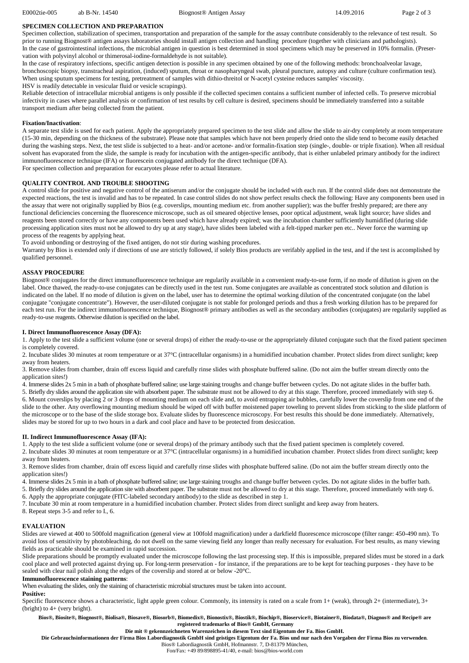E0002tie-005 ab B-Nr. 14540 Biognost® Antigen Assay 14.09.2016 Page 2 of 3

#### **SPECIMEN COLLECTION AND PREPARATION**

Specimen collection, stabilization of specimen, transportation and preparation of the sample for the assay contribute considerably to the relevance of test result. So prior to running Biognost® antigen assays laboratories should install antigen collection and handling procedure (together with clinicians and pathologists). In the case of gastrointestinal infections, the microbial antigen in question is best determined in stool specimens which may be preserved in 10% formalin. (Preservation with polyvinyl alcohol or thimerosal-iodine-formaldehyde is not suitable).

In the case of respiratory infections, specific antigen detection is possible in any specimen obtained by one of the following methods: bronchoalveolar lavage, bronchoscopic biopsy, transtracheal aspiration, (induced) sputum, throat or nasopharyngeal swab, pleural puncture, autopsy and culture (culture confirmation test). When using sputum specimens for testing, pretreatment of samples with dithio-threitol or N-acetyl cysteine reduces samples' viscosity. HSV is readily detectable in vesicular fluid or vesicle scrapings).

Reliable detection of intracellular microbial antigens is only possible if the collected specimen contains a sufficient number of infected cells. To preserve microbial infectivity in cases where parallel analysis or confirmation of test results by cell culture is desired, specimens should be immediately transferred into a suitable transport medium after being collected from the patient.

#### **Fixation/Inactivation**:

A separate test slide is used for each patient. Apply the appropriately prepared specimen to the test slide and allow the slide to air-dry completely at room temperature (15-30 min, depending on the thickness of the substrate). Please note that samples which have not been properly dried onto the slide tend to become easily detached during the washing steps. Next, the test slide is subjected to a heat- and/or acetone- and/or formalin-fixation step (single-, double- or triple fixation). When all residual solvent has evaporated from the slide, the sample is ready for incubation with the antigen-specific antibody, that is either unlabeled primary antibody for the indirect immunofluorescence technique (IFA) or fluorescein conjugated antibody for the direct technique (DFA).

For specimen collection and preparation for eucaryotes please refer to actual literature.

#### **QUALITY CONTROL AND TROUBLE SHOOTING**

A control slide for positive and negative control of the antiserum and/or the conjugate should be included with each run. If the control slide does not demonstrate the expected reactions, the test is invalid and has to be repeated. In case control slides do not show perfect results check the following: Have any components been used in the assay that were not originally supplied by Bios (e.g. coverslips, mounting medium etc. from another supplier); was the buffer freshly prepared; are there any functional deficiencies concerning the fluorescence microscope, such as oil smeared objective lenses, poor optical adjustment, weak light source; have slides and reagents been stored correctly or have any components been used which have already expired; was the incubation chamber sufficiently humidified (during slide processing application sites must not be allowed to dry up at any stage), have slides been labeled with a felt-tipped marker pen etc.. Never force the warming up process of the reagents by applying heat.

To avoid unbonding or destroying of the fixed antigen, do not stir during washing procedures.

Warranty by Bios is extended only if directions of use are strictly followed, if solely Bios products are verifably applied in the test, and if the test is accomplished by qualified personnel.

### **ASSAY PROCEDURE**

Biognost® conjugates for the direct immunofluorescence technique are regularily available in a convenient ready-to-use form, if no mode of dilution is given on the label. Once thawed, the ready-to-use conjugates can be directly used in the test run. Some conjugates are available as concentrated stock solution and dilution is indicated on the label. If no mode of dilution is given on the label, user has to determine the optimal working dilution of the concentrated conjugate (on the label conjugate "conjugate concentrate"). However, the user-diluted conjugate is not stable for prolonged periods and thus a fresh working dilution has to be prepared for each test run. For the indirect immunofluorescence technique, Biognost® primary antibodies as well as the secondary antibodies (conjugates) are regularily supplied as ready-to-use reagents. Otherwise dilution is specified on the label.

#### **I. Direct Immunofluorescence Assay (DFA):**

1. Apply to the test slide a sufficient volume (one or several drops) of either the ready-to-use or the appropriately diluted conjugate such that the fixed patient specimen is completely covered.

2. Incubate slides 30 minutes at room temperature or at 37°C (intracellular organisms) in a humidified incubation chamber. Protect slides from direct sunlight; keep away from heaters.

3. Remove slides from chamber, drain off excess liquid and carefully rinse slides with phosphate buffered saline. (Do not aim the buffer stream directly onto the application sites!)

4. Immerse slides 2x 5 min in a bath of phosphate buffered saline; use large staining troughs and change buffer between cycles. Do not agitate slides in the buffer bath.

5. Briefly dry slides around the application site with absorbent paper. The substrate must not be allowed to dry at this stage. Therefore, proceed immediately with step 6. 6. Mount coverslips by placing 2 or 3 drops of mounting medium on each slide and, to avoid entrapping air bubbles, carefully lower the coverslip from one end of the slide to the other. Any overflowing mounting medium should be wiped off with buffer moistened paper toweling to prevent slides from sticking to the slide platform of the microscope or to the base of the slide storage box. Evaluate slides by fluorescence microscopy. For best results this should be done immediately. Alternatively, slides may be stored for up to two hours in a dark and cool place and have to be protected from desiccation.

#### **II. Indirect Immunofluorescence Assay (IFA):**

1. Apply to the test slide a sufficient volume (one or several drops) of the primary antibody such that the fixed patient specimen is completely covered.

2. Incubate slides 30 minutes at room temperature or at 37°C (intracellular organisms) in a humidified incubation chamber. Protect slides from direct sunlight; keep away from heaters.

3. Remove slides from chamber, drain off excess liquid and carefully rinse slides with phosphate buffered saline. (Do not aim the buffer stream directly onto the application sites!)

4. Immerse slides 2x 5 min in a bath of phosphate buffered saline; use large staining troughs and change buffer between cycles. Do not agitate slides in the buffer bath.

5. Briefly dry slides around the application site with absorbent paper. The substrate must not be allowed to dry at this stage. Therefore, proceed immediately with step 6.

6. Apply the appropriate conjugate (FITC-labeled secondary antibody) to the slide as described in step 1.

7. Incubate 30 min at room temperature in a humidified incubation chamber. Protect slides from direct sunlight and keep away from heaters.

8. Repeat steps 3-5 and refer to I., 6.

#### **EVALUATION**

Slides are viewed at 400 to 500fold magnification (general view at 100fold magnification) under a darkfield fluorescence microscope (filter range: 450-490 nm). To avoid loss of sensitivity by photobleaching, do not dwell on the same viewing field any longer than really necessary for evaluation. For best results, as many viewing fields as practicable should be examined in rapid succession.

Slide preparations should be promptly evaluated under the microscope following the last processing step. If this is impossible, prepared slides must be stored in a dark cool place and well protected against drying up. For long-term preservation - for instance, if the preparations are to be kept for teaching purposes - they have to be sealed with clear nail polish along the edges of the coverslip and stored at or below -20°C.

#### **Immunofluorescence staining patterns**:

When evaluating the slides, only the staining of characteristic microbial structures must be taken into account.

## **Positive:**

Specific fluorescence shows a characteristic, light apple green colour. Commonly, its intensity is rated on a scale from  $1+$  (weak), through  $2+$  (intermediate),  $3+$ (bright) to 4+ (very bright).

**Bios®, Biosite®, Biognost®, Biolisa®, Biosave®, Biosorb®, Biomedix®, Bionostix®, Biostik®, Biochip®, Bioservice®, Biotainer®, Biodata®, Diagnos® and Recipe® are registered trademarks of Bios® GmbH, Germany** 

**Die mit ® gekennzeichneten Warenzeichen in diesem Text sind Eigentum der Fa. Bios GmbH.** 

**Die Gebrauchsinformationen der Firma Bios Labordiagnostik GmbH sind geistiges Eigentum der Fa. Bios und nur nach den Vorgaben der Firma Bios zu verwenden**.

Bios® Labordiagnostik GmbH, Hofmannstr. 7, D-81379 München, Fon/Fax: +49 89/898895-41/40, e-mail: bios@bios-world.com